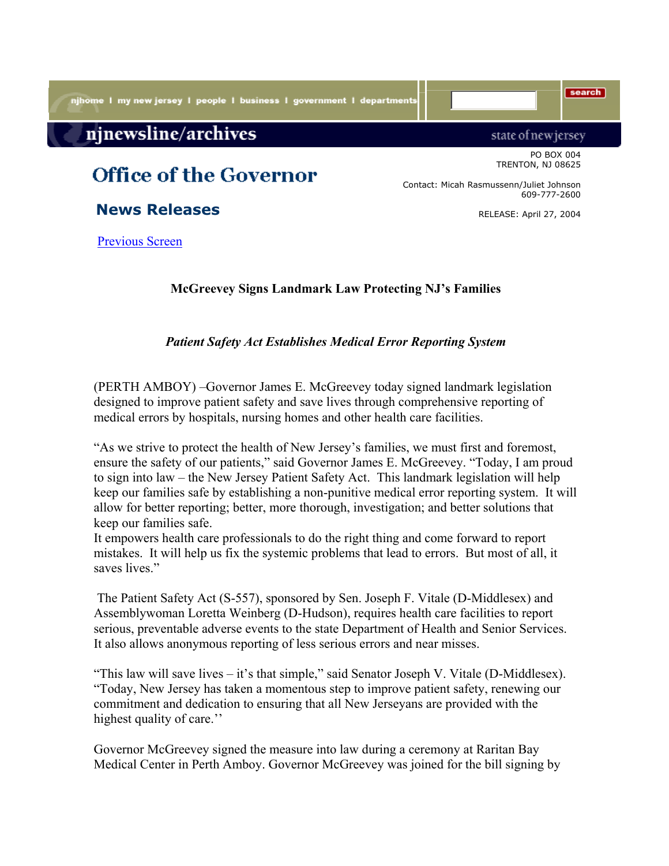njhome I my new jersey I people I business I government I departments

## njnewsline/archives

## **Office of the Governor**

 **News Releases**

Previous Screen

**McGreevey Signs Landmark Law Protecting NJ's Families**

*Patient Safety Act Establishes Medical Error Reporting System*

(PERTH AMBOY) –Governor James E. McGreevey today signed landmark legislation designed to improve patient safety and save lives through comprehensive reporting of medical errors by hospitals, nursing homes and other health care facilities.

"As we strive to protect the health of New Jersey's families, we must first and foremost, ensure the safety of our patients," said Governor James E. McGreevey. "Today, I am proud to sign into law – the New Jersey Patient Safety Act. This landmark legislation will help keep our families safe by establishing a non-punitive medical error reporting system. It will allow for better reporting; better, more thorough, investigation; and better solutions that keep our families safe.

It empowers health care professionals to do the right thing and come forward to report mistakes. It will help us fix the systemic problems that lead to errors. But most of all, it saves lives."

 The Patient Safety Act (S-557), sponsored by Sen. Joseph F. Vitale (D-Middlesex) and Assemblywoman Loretta Weinberg (D-Hudson), requires health care facilities to report serious, preventable adverse events to the state Department of Health and Senior Services. It also allows anonymous reporting of less serious errors and near misses.

"This law will save lives – it's that simple," said Senator Joseph V. Vitale (D-Middlesex). "Today, New Jersey has taken a momentous step to improve patient safety, renewing our commitment and dedication to ensuring that all New Jerseyans are provided with the highest quality of care."

Governor McGreevey signed the measure into law during a ceremony at Raritan Bay Medical Center in Perth Amboy. Governor McGreevey was joined for the bill signing by

state of new jersey PO BOX 004 TRENTON, NJ 08625

Contact: Micah Rasmussenn/Juliet Johnson 609-777-2600

RELEASE: April 27, 2004

search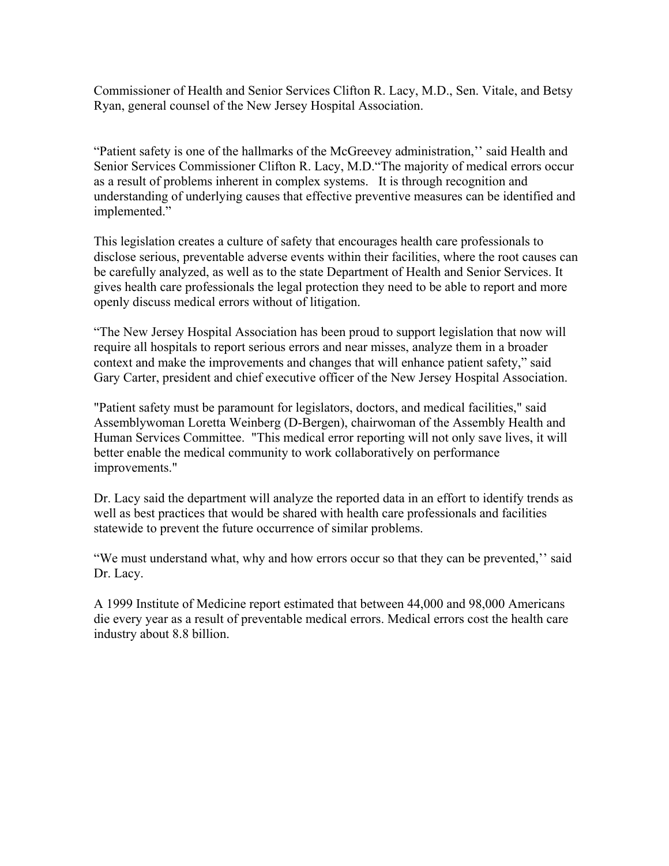Commissioner of Health and Senior Services Clifton R. Lacy, M.D., Sen. Vitale, and Betsy Ryan, general counsel of the New Jersey Hospital Association.

"Patient safety is one of the hallmarks of the McGreevey administration,'' said Health and Senior Services Commissioner Clifton R. Lacy, M.D."The majority of medical errors occur as a result of problems inherent in complex systems. It is through recognition and understanding of underlying causes that effective preventive measures can be identified and implemented."

This legislation creates a culture of safety that encourages health care professionals to disclose serious, preventable adverse events within their facilities, where the root causes can be carefully analyzed, as well as to the state Department of Health and Senior Services. It gives health care professionals the legal protection they need to be able to report and more openly discuss medical errors without of litigation.

"The New Jersey Hospital Association has been proud to support legislation that now will require all hospitals to report serious errors and near misses, analyze them in a broader context and make the improvements and changes that will enhance patient safety," said Gary Carter, president and chief executive officer of the New Jersey Hospital Association.

"Patient safety must be paramount for legislators, doctors, and medical facilities," said Assemblywoman Loretta Weinberg (D-Bergen), chairwoman of the Assembly Health and Human Services Committee. "This medical error reporting will not only save lives, it will better enable the medical community to work collaboratively on performance improvements."

Dr. Lacy said the department will analyze the reported data in an effort to identify trends as well as best practices that would be shared with health care professionals and facilities statewide to prevent the future occurrence of similar problems.

"We must understand what, why and how errors occur so that they can be prevented,'' said Dr. Lacy.

A 1999 Institute of Medicine report estimated that between 44,000 and 98,000 Americans die every year as a result of preventable medical errors. Medical errors cost the health care industry about 8.8 billion.